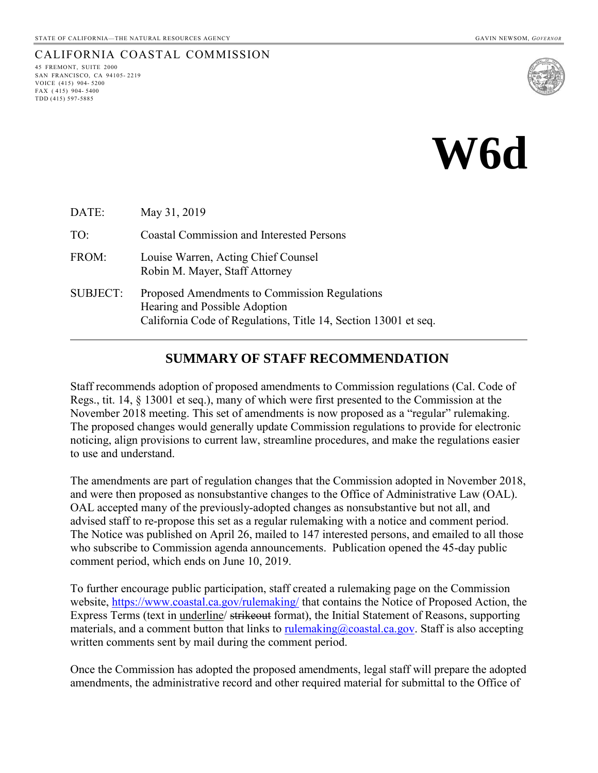## CALIFORNIA COASTAL COMMISSION

45 FREMONT, SUITE 2000 SAN FRANCISCO, CA 94105- 2219 VOICE (415) 904- 5200 FAX ( 415) 904- 5400 TDD (415) 597-5885





| DATE:           | May 31, 2019                                                                                                                                      |
|-----------------|---------------------------------------------------------------------------------------------------------------------------------------------------|
| TO:             | <b>Coastal Commission and Interested Persons</b>                                                                                                  |
| FROM:           | Louise Warren, Acting Chief Counsel<br>Robin M. Mayer, Staff Attorney                                                                             |
| <b>SUBJECT:</b> | Proposed Amendments to Commission Regulations<br>Hearing and Possible Adoption<br>California Code of Regulations, Title 14, Section 13001 et seq. |

## **SUMMARY OF STAFF RECOMMENDATION**

Staff recommends adoption of proposed amendments to Commission regulations (Cal. Code of Regs., tit. 14, § 13001 et seq.), many of which were first presented to the Commission at the November 2018 meeting. This set of amendments is now proposed as a "regular" rulemaking. The proposed changes would generally update Commission regulations to provide for electronic noticing, align provisions to current law, streamline procedures, and make the regulations easier to use and understand.

The amendments are part of regulation changes that the Commission adopted in November 2018, and were then proposed as nonsubstantive changes to the Office of Administrative Law (OAL). OAL accepted many of the previously-adopted changes as nonsubstantive but not all, and advised staff to re-propose this set as a regular rulemaking with a notice and comment period. The Notice was published on April 26, mailed to 147 interested persons, and emailed to all those who subscribe to Commission agenda announcements. Publication opened the 45-day public comment period, which ends on June 10, 2019.

To further encourage public participation, staff created a rulemaking page on the Commission website, <https://www.coastal.ca.gov/rulemaking/> that contains the Notice of Proposed Action, the Express Terms (text in underline/ strikeout format), the Initial Statement of Reasons, supporting materials, and a comment button that links to <u>rulemaking@coastal.ca.gov</u>. Staff is also accepting written comments sent by mail during the comment period.

Once the Commission has adopted the proposed amendments, legal staff will prepare the adopted amendments, the administrative record and other required material for submittal to the Office of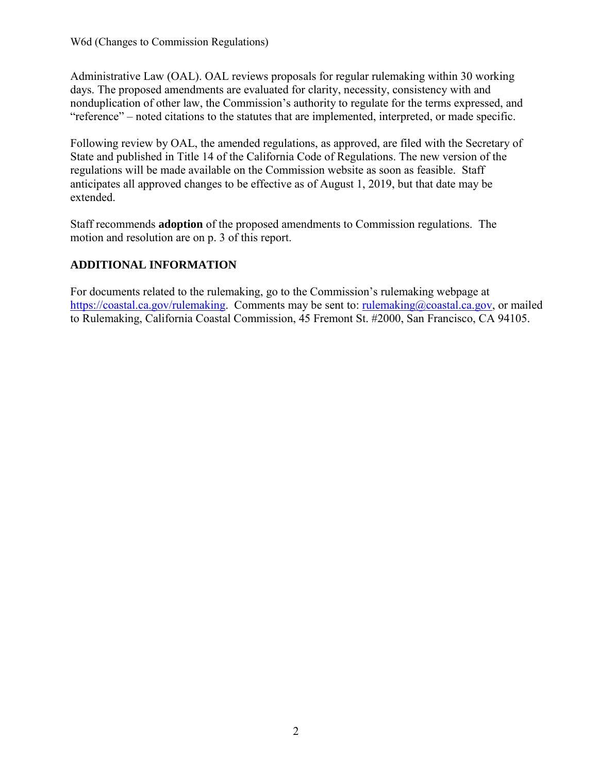Administrative Law (OAL). OAL reviews proposals for regular rulemaking within 30 working days. The proposed amendments are evaluated for clarity, necessity, consistency with and nonduplication of other law, the Commission's authority to regulate for the terms expressed, and "reference" – noted citations to the statutes that are implemented, interpreted, or made specific.

Following review by OAL, the amended regulations, as approved, are filed with the Secretary of State and published in Title 14 of the California Code of Regulations. The new version of the regulations will be made available on the Commission website as soon as feasible. Staff anticipates all approved changes to be effective as of August 1, 2019, but that date may be extended.

Staff recommends **adoption** of the proposed amendments to Commission regulations. The motion and resolution are on p. 3 of this report.

### **ADDITIONAL INFORMATION**

For documents related to the rulemaking, go to the Commission's rulemaking webpage at [https://coastal.ca.gov/rulemaking.](https://coastal.ca.gov/rulemaking) Comments may be sent to: [rulemaking@coastal.ca.gov,](mailto:rulemaking@coastal.ca.gov) or mailed to Rulemaking, California Coastal Commission, 45 Fremont St. #2000, San Francisco, CA 94105.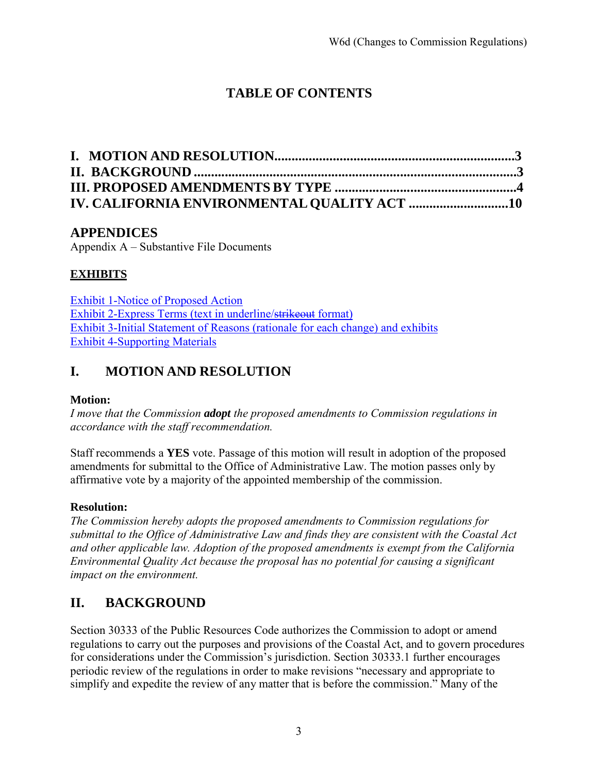# **TABLE OF CONTENTS**

## **APPENDICES**

Appendix A – Substantive File Documents

## **[EXHIBITS](https://documents.coastal.ca.gov/reports/2018/11/w7g/w7g-11-2018-exhibits.pdf)**

[Exhibit 1-Notice of](https://documents.coastal.ca.gov/reports/2019/6/W6d/W6d-6-2019-exhibits.pdf) Proposed Action [Exhibit 2-Express Terms \(text](https://documents.coastal.ca.gov/reports/2019/6/W6d/W6d-6-2019-exhibits.pdf) in underline/strikeout format) Exhibit 3-Initial Statement of [Reasons \(rationale for each change\) and exhibits](https://documents.coastal.ca.gov/reports/2019/6/W6d/W6d-6-2019-exhibits.pdf) [Exhibit 4-Supporting Materials](https://documents.coastal.ca.gov/reports/2019/6/W6d/W6d-6-2019-exhibits.pdf)

## **I. MOTION AND RESOLUTION**

### **Motion:**

*I move that the Commission adopt the proposed amendments to Commission regulations in accordance with the staff recommendation.*

Staff recommends a **YES** vote. Passage of this motion will result in adoption of the proposed amendments for submittal to the Office of Administrative Law. The motion passes only by affirmative vote by a majority of the appointed membership of the commission.

### **Resolution:**

*The Commission hereby adopts the proposed amendments to Commission regulations for submittal to the Office of Administrative Law and finds they are consistent with the Coastal Act and other applicable law. Adoption of the proposed amendments is exempt from the California Environmental Quality Act because the proposal has no potential for causing a significant impact on the environment.*

## **II. BACKGROUND**

Section 30333 of the Public Resources Code authorizes the Commission to adopt or amend regulations to carry out the purposes and provisions of the Coastal Act, and to govern procedures for considerations under the Commission's jurisdiction. Section 30333.1 further encourages periodic review of the regulations in order to make revisions "necessary and appropriate to simplify and expedite the review of any matter that is before the commission." Many of the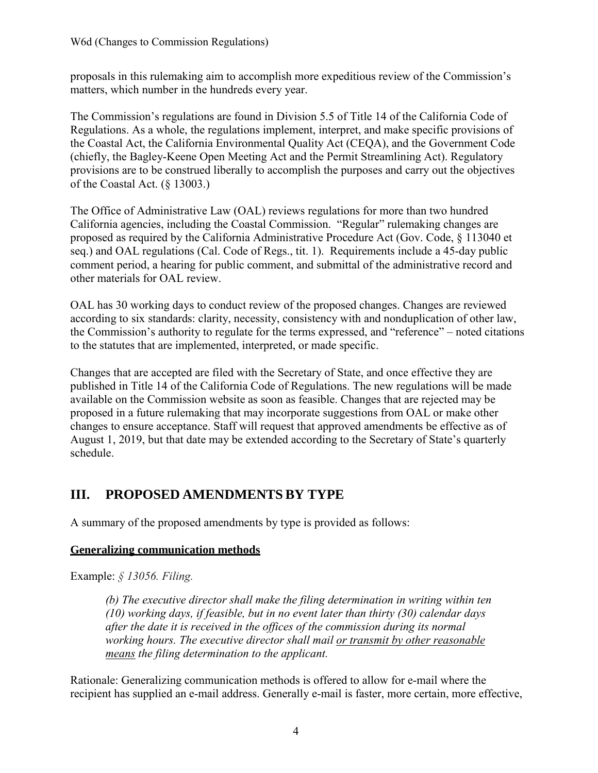proposals in this rulemaking aim to accomplish more expeditious review of the Commission's matters, which number in the hundreds every year.

The Commission's regulations are found in Division 5.5 of Title 14 of the California Code of Regulations. As a whole, the regulations implement, interpret, and make specific provisions of the Coastal Act, the California Environmental Quality Act (CEQA), and the Government Code (chiefly, the Bagley-Keene Open Meeting Act and the Permit Streamlining Act). Regulatory provisions are to be construed liberally to accomplish the purposes and carry out the objectives of the Coastal Act. (§ 13003.)

The Office of Administrative Law (OAL) reviews regulations for more than two hundred California agencies, including the Coastal Commission. "Regular" rulemaking changes are proposed as required by the California Administrative Procedure Act (Gov. Code, § 113040 et seq.) and OAL regulations (Cal. Code of Regs., tit. 1). Requirements include a 45-day public comment period, a hearing for public comment, and submittal of the administrative record and other materials for OAL review.

OAL has 30 working days to conduct review of the proposed changes. Changes are reviewed according to six standards: clarity, necessity, consistency with and nonduplication of other law, the Commission's authority to regulate for the terms expressed, and "reference" – noted citations to the statutes that are implemented, interpreted, or made specific.

Changes that are accepted are filed with the Secretary of State, and once effective they are published in Title 14 of the California Code of Regulations. The new regulations will be made available on the Commission website as soon as feasible. Changes that are rejected may be proposed in a future rulemaking that may incorporate suggestions from OAL or make other changes to ensure acceptance. Staff will request that approved amendments be effective as of August 1, 2019, but that date may be extended according to the Secretary of State's quarterly schedule.

## **III. PROPOSED AMENDMENTS BY TYPE**

A summary of the proposed amendments by type is provided as follows:

## **Generalizing communication methods**

Example: *§ 13056. Filing.*

*(b) The executive director shall make the filing determination in writing within ten (10) working days, if feasible, but in no event later than thirty (30) calendar days after the date it is received in the offices of the commission during its normal working hours. The executive director shall mail or transmit by other reasonable means the filing determination to the applicant.*

Rationale: Generalizing communication methods is offered to allow for e-mail where the recipient has supplied an e-mail address. Generally e-mail is faster, more certain, more effective,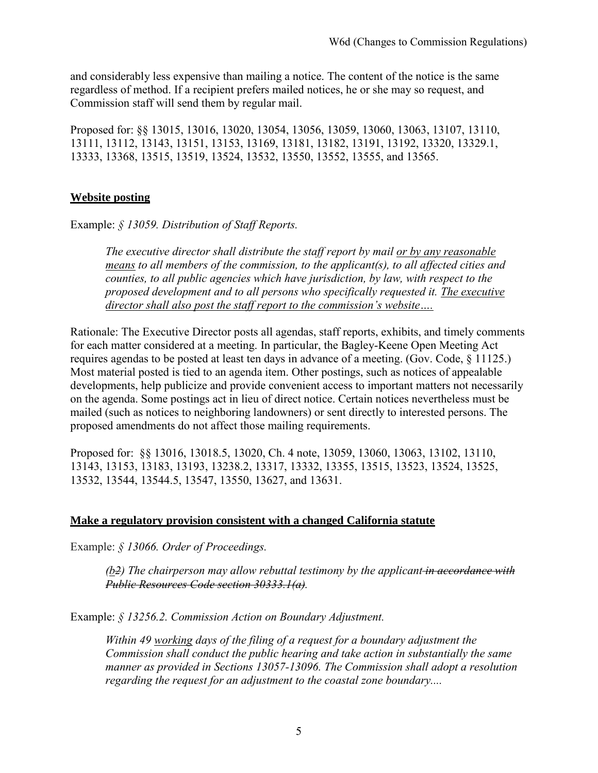and considerably less expensive than mailing a notice. The content of the notice is the same regardless of method. If a recipient prefers mailed notices, he or she may so request, and Commission staff will send them by regular mail.

Proposed for: §§ 13015, 13016, 13020, 13054, 13056, 13059, 13060, 13063, 13107, 13110, 13111, 13112, 13143, 13151, 13153, 13169, 13181, 13182, 13191, 13192, 13320, 13329.1, 13333, 13368, 13515, 13519, 13524, 13532, 13550, 13552, 13555, and 13565.

### **Website posting**

Example: *§ 13059. Distribution of Staff Reports.*

*The executive director shall distribute the staff report by mail or by any reasonable means to all members of the commission, to the applicant(s), to all affected cities and counties, to all public agencies which have jurisdiction, by law, with respect to the proposed development and to all persons who specifically requested it. The executive director shall also post the staff report to the commission's website….*

Rationale: The Executive Director posts all agendas, staff reports, exhibits, and timely comments for each matter considered at a meeting. In particular, the Bagley-Keene Open Meeting Act requires agendas to be posted at least ten days in advance of a meeting. (Gov. Code, § 11125.) Most material posted is tied to an agenda item. Other postings, such as notices of appealable developments, help publicize and provide convenient access to important matters not necessarily on the agenda. Some postings act in lieu of direct notice. Certain notices nevertheless must be mailed (such as notices to neighboring landowners) or sent directly to interested persons. The proposed amendments do not affect those mailing requirements.

Proposed for: §§ 13016, 13018.5, 13020, Ch. 4 note, 13059, 13060, 13063, 13102, 13110, 13143, 13153, 13183, 13193, 13238.2, 13317, 13332, 13355, 13515, 13523, 13524, 13525, 13532, 13544, 13544.5, 13547, 13550, 13627, and 13631.

#### **Make a regulatory provision consistent with a changed California statute**

Example: *§ 13066. Order of Proceedings.*

*(b2) The chairperson may allow rebuttal testimony by the applicant in accordance with Public Resources Code section 30333.1(a).*

Example: *§ 13256.2. Commission Action on Boundary Adjustment.*

*Within 49 working days of the filing of a request for a boundary adjustment the Commission shall conduct the public hearing and take action in substantially the same manner as provided in Sections 13057-13096. The Commission shall adopt a resolution regarding the request for an adjustment to the coastal zone boundary....*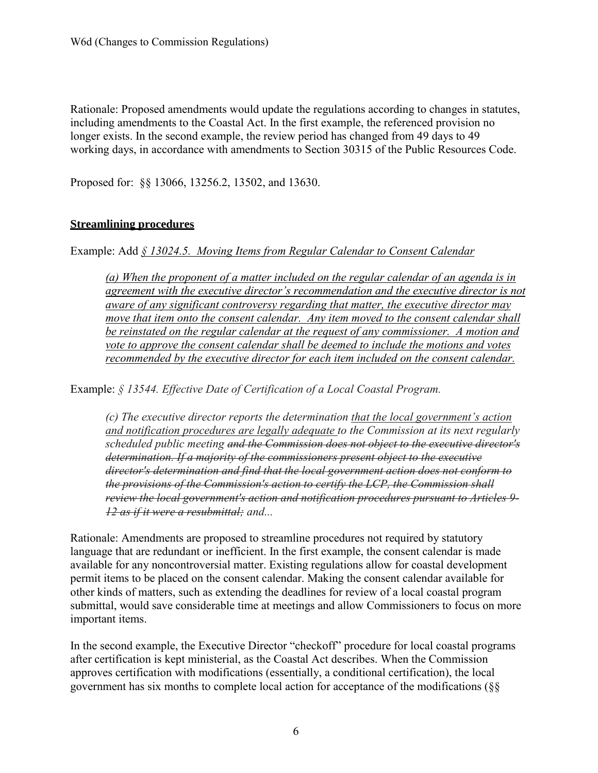Rationale: Proposed amendments would update the regulations according to changes in statutes, including amendments to the Coastal Act. In the first example, the referenced provision no longer exists. In the second example, the review period has changed from 49 days to 49 working days, in accordance with amendments to Section 30315 of the Public Resources Code.

Proposed for: §§ 13066, 13256.2, 13502, and 13630.

### **Streamlining procedures**

Example: Add *§ 13024.5. Moving Items from Regular Calendar to Consent Calendar*

*(a) When the proponent of a matter included on the regular calendar of an agenda is in agreement with the executive director's recommendation and the executive director is not aware of any significant controversy regarding that matter, the executive director may move that item onto the consent calendar. Any item moved to the consent calendar shall be reinstated on the regular calendar at the request of any commissioner. A motion and vote to approve the consent calendar shall be deemed to include the motions and votes recommended by the executive director for each item included on the consent calendar.*

Example: *§ 13544. Effective Date of Certification of a Local Coastal Program.*

*(c) The executive director reports the determination that the local government's action and notification procedures are legally adequate to the Commission at its next regularly scheduled public meeting and the Commission does not object to the executive director's determination. If a majority of the commissioners present object to the executive director's determination and find that the local government action does not conform to the provisions of the Commission's action to certify the LCP, the Commission shall review the local government's action and notification procedures pursuant to Articles 9- 12 as if it were a resubmittal; and...*

Rationale: Amendments are proposed to streamline procedures not required by statutory language that are redundant or inefficient. In the first example, the consent calendar is made available for any noncontroversial matter. Existing regulations allow for coastal development permit items to be placed on the consent calendar. Making the consent calendar available for other kinds of matters, such as extending the deadlines for review of a local coastal program submittal, would save considerable time at meetings and allow Commissioners to focus on more important items.

In the second example, the Executive Director "checkoff" procedure for local coastal programs after certification is kept ministerial, as the Coastal Act describes. When the Commission approves certification with modifications (essentially, a conditional certification), the local government has six months to complete local action for acceptance of the modifications (§§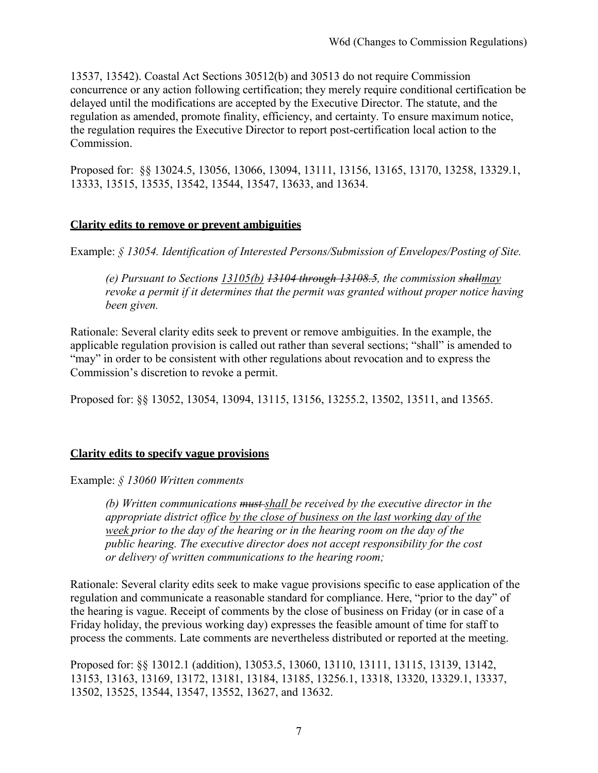13537, 13542). Coastal Act Sections 30512(b) and 30513 do not require Commission concurrence or any action following certification; they merely require conditional certification be delayed until the modifications are accepted by the Executive Director. The statute, and the regulation as amended, promote finality, efficiency, and certainty. To ensure maximum notice, the regulation requires the Executive Director to report post-certification local action to the Commission.

Proposed for: §§ 13024.5, 13056, 13066, 13094, 13111, 13156, 13165, 13170, 13258, 13329.1, 13333, 13515, 13535, 13542, 13544, 13547, 13633, and 13634.

#### **Clarity edits to remove or prevent ambiguities**

Example: *§ 13054. Identification of Interested Persons/Submission of Envelopes/Posting of Site.*

*(e) Pursuant to Sections 13105(b) 13104 through 13108.5, the commission shallmay revoke a permit if it determines that the permit was granted without proper notice having been given.*

Rationale: Several clarity edits seek to prevent or remove ambiguities. In the example, the applicable regulation provision is called out rather than several sections; "shall" is amended to "may" in order to be consistent with other regulations about revocation and to express the Commission's discretion to revoke a permit.

Proposed for: §§ 13052, 13054, 13094, 13115, 13156, 13255.2, 13502, 13511, and 13565.

#### **Clarity edits to specify vague provisions**

Example: *§ 13060 Written comments*

*(b) Written communications must shall be received by the executive director in the appropriate district office by the close of business on the last working day of the week prior to the day of the hearing or in the hearing room on the day of the public hearing. The executive director does not accept responsibility for the cost or delivery of written communications to the hearing room;*

Rationale: Several clarity edits seek to make vague provisions specific to ease application of the regulation and communicate a reasonable standard for compliance. Here, "prior to the day" of the hearing is vague. Receipt of comments by the close of business on Friday (or in case of a Friday holiday, the previous working day) expresses the feasible amount of time for staff to process the comments. Late comments are nevertheless distributed or reported at the meeting.

Proposed for: §§ 13012.1 (addition), 13053.5, 13060, 13110, 13111, 13115, 13139, 13142, 13153, 13163, 13169, 13172, 13181, 13184, 13185, 13256.1, 13318, 13320, 13329.1, 13337, 13502, 13525, 13544, 13547, 13552, 13627, and 13632.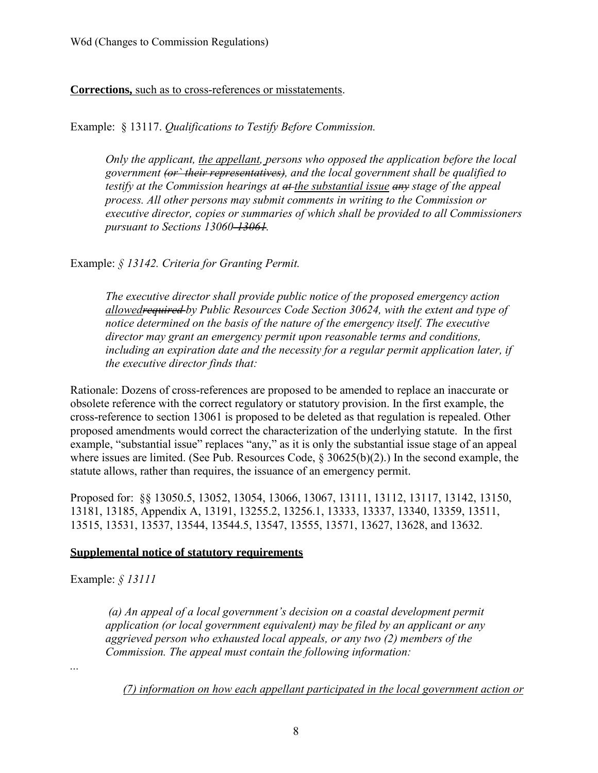**Corrections,** such as to cross-references or misstatements.

Example: § 13117. *Qualifications to Testify Before Commission.*

*Only the applicant, the appellant, persons who opposed the application before the local government (or` their representatives), and the local government shall be qualified to testify at the Commission hearings at at the substantial issue any stage of the appeal process. All other persons may submit comments in writing to the Commission or executive director, copies or summaries of which shall be provided to all Commissioners pursuant to Sections 13060-13061.*

Example: *§ 13142. Criteria for Granting Permit.*

*The executive director shall provide public notice of the proposed emergency action allowedrequired [by Public Resources](http://www.westlaw.com/Link/Document/FullText?findType=L&pubNum=1000220&cite=CAPHS30624&originatingDoc=IE26E5A90D48711DEBC02831C6D6C108E&refType=LQ&originationContext=document&vr=3.0&rs=cblt1.0&transitionType=DocumentItem&contextData=(sc.Default)) Code Section 30624, with the extent and type of notice determined on the basis of the nature of the emergency itself. The executive director may grant an emergency permit upon reasonable terms and conditions, including an expiration date and the necessity for a regular permit application later, if the executive director finds that:*

Rationale: Dozens of cross-references are proposed to be amended to replace an inaccurate or obsolete reference with the correct regulatory or statutory provision. In the first example, the cross-reference to section 13061 is proposed to be deleted as that regulation is repealed. Other proposed amendments would correct the characterization of the underlying statute. In the first example, "substantial issue" replaces "any," as it is only the substantial issue stage of an appeal where issues are limited. (See Pub. Resources Code,  $\frac{1}{2}$  30625(b)(2).) In the second example, the statute allows, rather than requires, the issuance of an emergency permit.

Proposed for: §§ 13050.5, 13052, 13054, 13066, 13067, 13111, 13112, 13117, 13142, 13150, 13181, 13185, Appendix A, 13191, 13255.2, 13256.1, 13333, 13337, 13340, 13359, 13511, 13515, 13531, 13537, 13544, 13544.5, 13547, 13555, 13571, 13627, 13628, and 13632.

#### **Supplemental notice of statutory requirements**

Example: *§ 13111*

*(a) An appeal of a local government's decision on a coastal development permit application (or local government equivalent) may be filed by an applicant or any aggrieved person who exhausted local appeals, or any two (2) members of the Commission. The appeal must contain the following information:*

*...*

*(7) information on how each appellant participated in the local government action or*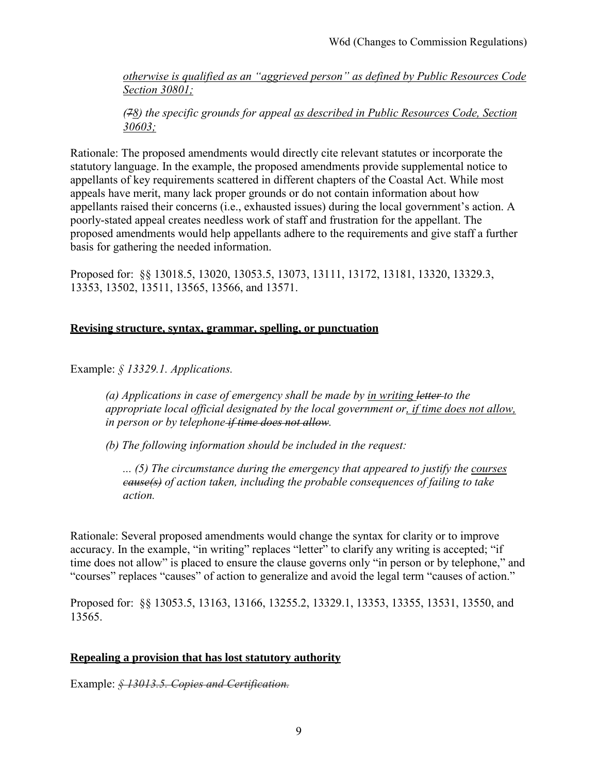*otherwise is qualified as an "aggrieved person" as defined by Public Resources Code Section 30801;*

*(78) the specific grounds for appeal as described in Public Resources Code, Section 30603;*

Rationale: The proposed amendments would directly cite relevant statutes or incorporate the statutory language. In the example, the proposed amendments provide supplemental notice to appellants of key requirements scattered in different chapters of the Coastal Act. While most appeals have merit, many lack proper grounds or do not contain information about how appellants raised their concerns (i.e., exhausted issues) during the local government's action. A poorly-stated appeal creates needless work of staff and frustration for the appellant. The proposed amendments would help appellants adhere to the requirements and give staff a further basis for gathering the needed information.

Proposed for: §§ 13018.5, 13020, 13053.5, 13073, 13111, 13172, 13181, 13320, 13329.3, 13353, 13502, 13511, 13565, 13566, and 13571.

#### **Revising structure, syntax, grammar, spelling, or punctuation**

Example: *§ 13329.1. Applications.*

*(a) Applications in case of emergency shall be made by in writing letter to the appropriate local official designated by the local government or, if time does not allow, in person or by telephone if time does not allow.*

*(b) The following information should be included in the request:*

*... (5) The circumstance during the emergency that appeared to justify the courses cause(s) of action taken, including the probable consequences of failing to take action.*

Rationale: Several proposed amendments would change the syntax for clarity or to improve accuracy. In the example, "in writing" replaces "letter" to clarify any writing is accepted; "if time does not allow" is placed to ensure the clause governs only "in person or by telephone," and "courses" replaces "causes" of action to generalize and avoid the legal term "causes of action."

Proposed for: §§ 13053.5, 13163, 13166, 13255.2, 13329.1, 13353, 13355, 13531, 13550, and 13565.

#### **Repealing a provision that has lost statutory authority**

Example: *§ 13013.5. Copies and Certification.*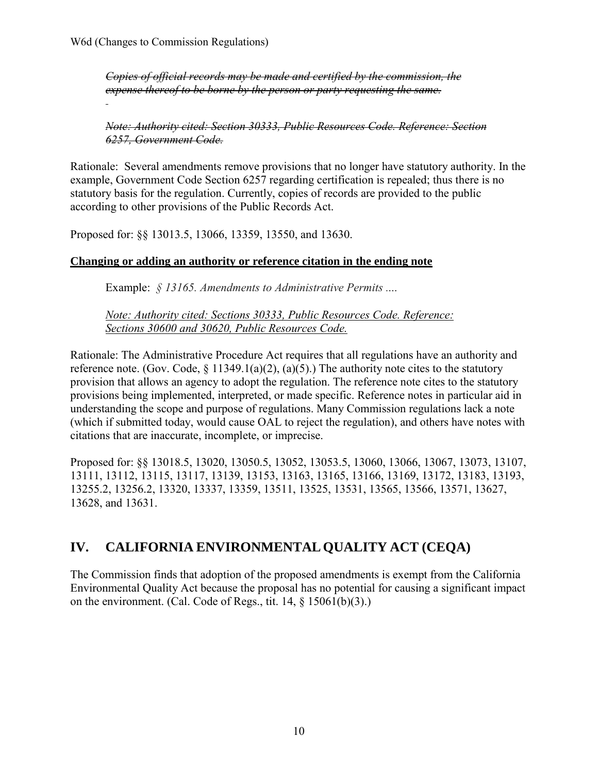*Copies of official records may be made and certified by the commission, the expense thereof to be borne by the person or party requesting the same.*

*Note: Authority cited: Section 30333, Public Resources Code. Reference: Section 6257, Government Code.*

Rationale: Several amendments remove provisions that no longer have statutory authority. In the example, Government Code Section 6257 regarding certification is repealed; thus there is no statutory basis for the regulation. Currently, copies of records are provided to the public according to other provisions of the Public Records Act.

Proposed for: §§ 13013.5, 13066, 13359, 13550, and 13630.

### **Changing or adding an authority or reference citation in the ending note**

Example: *§ 13165. Amendments to Administrative Permits ....*

*Note: Authority cited: [Sections 30333, Public Resources Code.](http://www.westlaw.com/Link/Document/FullText?findType=L&pubNum=1000220&cite=CAPHS30333&originatingDoc=IEA8C99D0D48711DEBC02831C6D6C108E&refType=LQ&originationContext=document&vr=3.0&rs=cblt1.0&transitionType=DocumentItem&contextData=(sc.Default)) Reference: [Sections 30600 a](http://www.westlaw.com/Link/Document/FullText?findType=L&pubNum=1000220&cite=CAPHS30600&originatingDoc=IEA8C99D0D48711DEBC02831C6D6C108E&refType=LQ&originationContext=document&vr=3.0&rs=cblt1.0&transitionType=DocumentItem&contextData=(sc.Default))nd [30620, Public Resources Code.](http://www.westlaw.com/Link/Document/FullText?findType=L&pubNum=1000220&cite=CAPHS30620&originatingDoc=IEA8C99D0D48711DEBC02831C6D6C108E&refType=LQ&originationContext=document&vr=3.0&rs=cblt1.0&transitionType=DocumentItem&contextData=(sc.Default))*

Rationale: The Administrative Procedure Act requires that all regulations have an authority and reference note. (Gov. Code,  $\S 11349.1(a)(2)$ ,  $(a)(5)$ .) The authority note cites to the statutory provision that allows an agency to adopt the regulation. The reference note cites to the statutory provisions being implemented, interpreted, or made specific. Reference notes in particular aid in understanding the scope and purpose of regulations. Many Commission regulations lack a note (which if submitted today, would cause OAL to reject the regulation), and others have notes with citations that are inaccurate, incomplete, or imprecise.

Proposed for: §§ 13018.5, 13020, 13050.5, 13052, 13053.5, 13060, 13066, 13067, 13073, 13107, 13111, 13112, 13115, 13117, 13139, 13153, 13163, 13165, 13166, 13169, 13172, 13183, 13193, 13255.2, 13256.2, 13320, 13337, 13359, 13511, 13525, 13531, 13565, 13566, 13571, 13627, 13628, and 13631.

## **IV. CALIFORNIA ENVIRONMENTALQUALITY ACT (CEQA)**

The Commission finds that adoption of the proposed amendments is exempt from the California Environmental Quality Act because the proposal has no potential for causing a significant impact on the environment. (Cal. Code of Regs., tit. 14, § 15061(b)(3).)